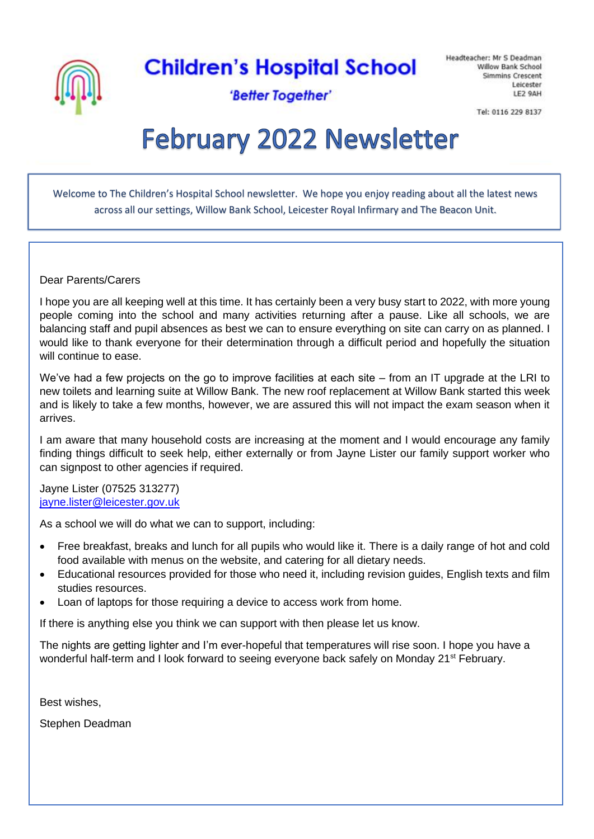

**Children's Hospital School** 

Headteacher: Mr S Deadman Willow Bank School **Simmins Crescent** Leicester LE2 9AH

'Better Together'

Tel: 0116 229 8137

# **February 2022 Newsletter**

Welcome to The Children's Hospital School newsletter. We hope you enjoy reading about all the latest news across all our settings, Willow Bank School, Leicester Royal Infirmary and The Beacon Unit.

#### Dear Parents/Carers

I hope you are all keeping well at this time. It has certainly been a very busy start to 2022, with more young people coming into the school and many activities returning after a pause. Like all schools, we are balancing staff and pupil absences as best we can to ensure everything on site can carry on as planned. I would like to thank everyone for their determination through a difficult period and hopefully the situation will continue to ease.

We've had a few projects on the go to improve facilities at each site – from an IT upgrade at the LRI to new toilets and learning suite at Willow Bank. The new roof replacement at Willow Bank started this week and is likely to take a few months, however, we are assured this will not impact the exam season when it arrives.

I am aware that many household costs are increasing at the moment and I would encourage any family finding things difficult to seek help, either externally or from Jayne Lister our family support worker who can signpost to other agencies if required.

Jayne Lister (07525 313277) [jayne.lister@leicester.gov.uk](mailto:jayne.lister@leicester.gov.uk)

As a school we will do what we can to support, including:

- Free breakfast, breaks and lunch for all pupils who would like it. There is a daily range of hot and cold food available with menus on the website, and catering for all dietary needs.
- Educational resources provided for those who need it, including revision guides, English texts and film studies resources.
- Loan of laptops for those requiring a device to access work from home.

If there is anything else you think we can support with then please let us know.

The nights are getting lighter and I'm ever-hopeful that temperatures will rise soon. I hope you have a wonderful half-term and I look forward to seeing everyone back safely on Monday 21<sup>st</sup> February.

Best wishes,

Stephen Deadman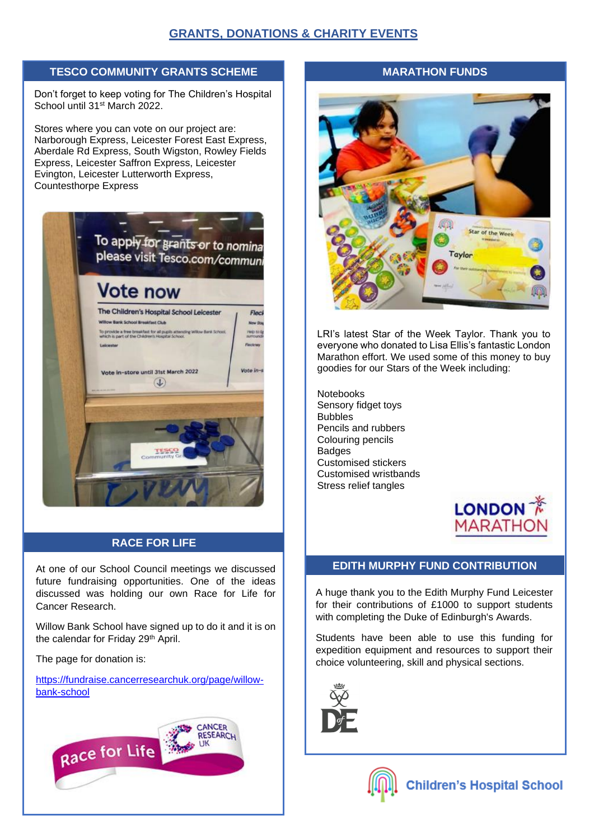# **GRANTS, DONATIONS & CHARITY EVENTS**

### **TESCO COMMUNITY GRANTS SCHEME**

Don't forget to keep voting for The Children's Hospital School until 31<sup>st</sup> March 2022.

Stores where you can vote on our project are: Narborough Express, Leicester Forest East Express, Aberdale Rd Express, South Wigston, Rowley Fields Express, Leicester Saffron Express, Leicester Evington, Leicester Lutterworth Express, Countesthorpe Express



### **RACE FOR LIFE**

At one of our School Council meetings we discussed future fundraising opportunities. One of the ideas discussed was holding our own Race for Life for Cancer Research.

Willow Bank School have signed up to do it and it is on the calendar for Friday 29<sup>th</sup> April.

The page for donation is:

[https://fundraise.cancerresearchuk.org/page/willow](https://fundraise.cancerresearchuk.org/page/willow-bank-school)[bank-school](https://fundraise.cancerresearchuk.org/page/willow-bank-school)



#### **MARATHON FUNDS**



LRI's latest Star of the Week Taylor. Thank you to everyone who donated to Lisa Ellis's fantastic London Marathon effort. We used some of this money to buy goodies for our Stars of the Week including:

Notebooks Sensory fidget toys Bubbles Pencils and rubbers Colouring pencils Badges Customised stickers Customised wristbands Stress relief tangles



#### **EDITH MURPHY FUND CONTRIBUTION**

A huge thank you to the Edith Murphy Fund Leicester for their contributions of £1000 to support students with completing the Duke of Edinburgh's Awards.

Students have been able to use this funding for expedition equipment and resources to support their choice volunteering, skill and physical sections.



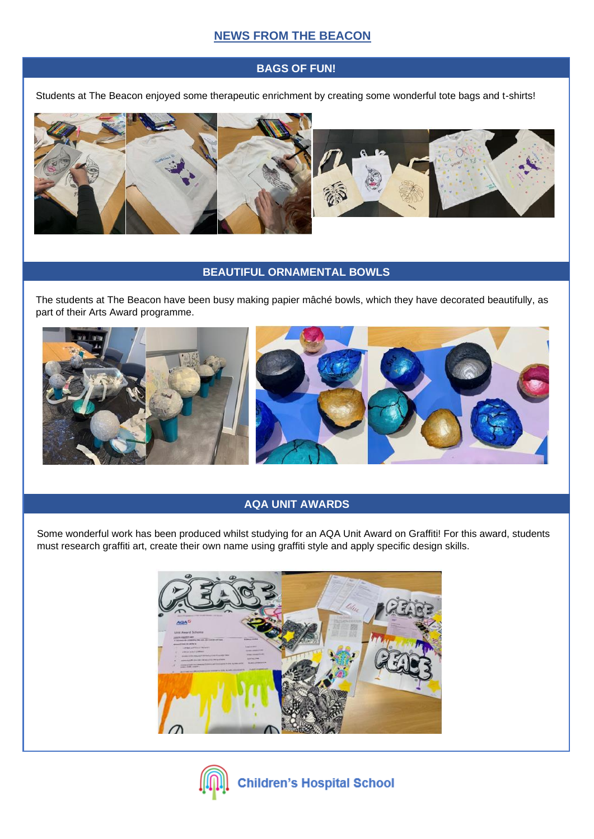# **NEWS FROM THE BEACON**

# **BAGS OF FUN!**

Students at The Beacon enjoyed some therapeutic enrichment by creating some wonderful tote bags and t-shirts!



#### **BEAUTIFUL ORNAMENTAL BOWLS**

The students at The Beacon have been busy making papier mâché bowls, which they have decorated beautifully, as part of their Arts Award programme.



#### **AQA UNIT AWARDS**

Some wonderful work has been produced whilst studying for an AQA Unit Award on Graffiti! For this award, students must research graffiti art, create their own name using graffiti style and apply specific design skills.



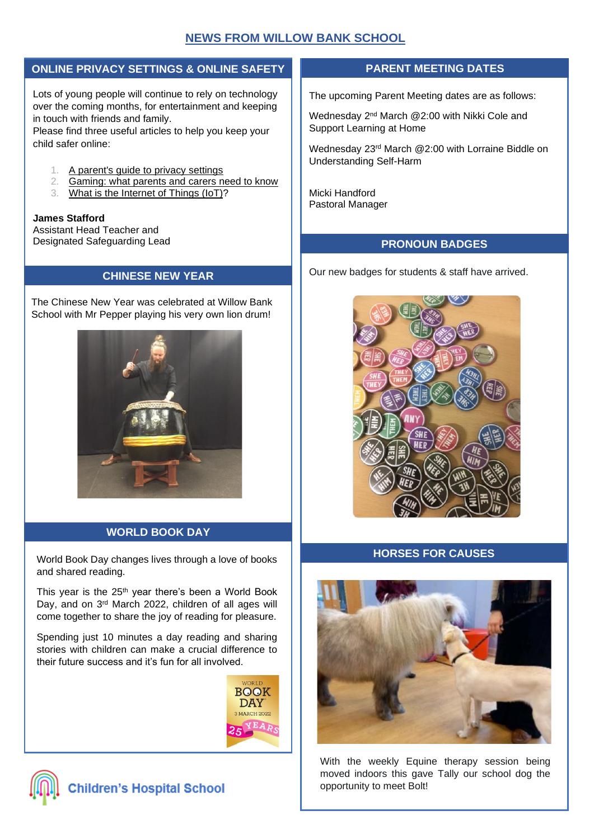# **NEWS FROM WILLOW BANK SCHOOL**

#### **ONLINE PRIVACY SETTINGS & ONLINE SAFETY**

Lots of young people will continue to rely on technology over the coming months, for entertainment and keeping in touch with friends and family.

Please find three useful articles to help you keep your child safer online:

- 1. [A parent's guide to privacy settings](https://thinkuknow.us13.list-manage.com/track/click?u=2ae276529dabe14cecc1d261e&id=75880de601&e=c9039aebd5)
- 2. [Gaming: what parents and carers need to know](https://thinkuknow.us13.list-manage.com/track/click?u=2ae276529dabe14cecc1d261e&id=f579faf9cc&e=c9039aebd5)
- 3. [What is the Internet of Things \(IoT\)?](https://thinkuknow.us13.list-manage.com/track/click?u=2ae276529dabe14cecc1d261e&id=5c963da541&e=c9039aebd5)

**James Stafford**  Assistant Head Teacher and Designated Safeguarding Lead

The Chinese New Year was celebrated at Willow Bank School with Mr Pepper playing his very own lion drum!



#### **WORLD BOOK DAY**

World Book Day changes lives through a love of books and shared reading.

This year is the 25<sup>th</sup> year there's been a World Book Day, and on 3rd March 2022, children of all ages will come together to share the joy of reading for pleasure.

Spending just 10 minutes a day reading and sharing stories with children can make a crucial difference to their future success and it's fun for all involved.



# **Children's Hospital School**

### **PARENT MEETING DATES**

The upcoming Parent Meeting dates are as follows:

Wednesday 2<sup>nd</sup> March @2:00 with Nikki Cole and Support Learning at Home

Wednesday 23rd March @2:00 with Lorraine Biddle on Understanding Self-Harm

Micki Handford Pastoral Manager

### **PRONOUN BADGES**

Our new badges for students & staff have arrived. **CHINESE NEW YEAR**



### **HORSES FOR CAUSES**



With the weekly Equine therapy session being moved indoors this gave Tally our school dog the opportunity to meet Bolt!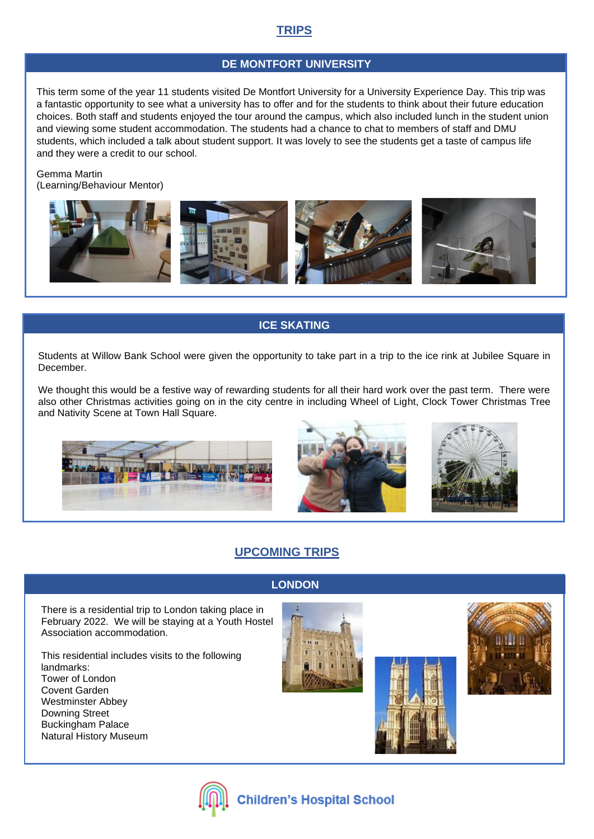# **TRIPS**

#### **DE MONTFORT UNIVERSITY**

This term some of the year 11 students visited De Montfort University for a University Experience Day. This trip was a fantastic opportunity to see what a university has to offer and for the students to think about their future education choices. Both staff and students enjoyed the tour around the campus, which also included lunch in the student union and viewing some student accommodation. The students had a chance to chat to members of staff and DMU students, which included a talk about student support. It was lovely to see the students get a taste of campus life and they were a credit to our school.

#### Gemma Martin (Learning/Behaviour Mentor)



# **ICE SKATING**

Students at Willow Bank School were given the opportunity to take part in a trip to the ice rink at Jubilee Square in December.

We thought this would be a festive way of rewarding students for all their hard work over the past term. There were also other Christmas activities going on in the city centre in including Wheel of Light, Clock Tower Christmas Tree and Nativity Scene at Town Hall Square.







# **UPCOMING TRIPS**

#### **LONDON**

There is a residential trip to London taking place in February 2022. We will be staying at a Youth Hostel Association accommodation.

This residential includes visits to the following landmarks: Tower of London Covent Garden Westminster Abbey Downing Street Buckingham Palace Natural History Museum







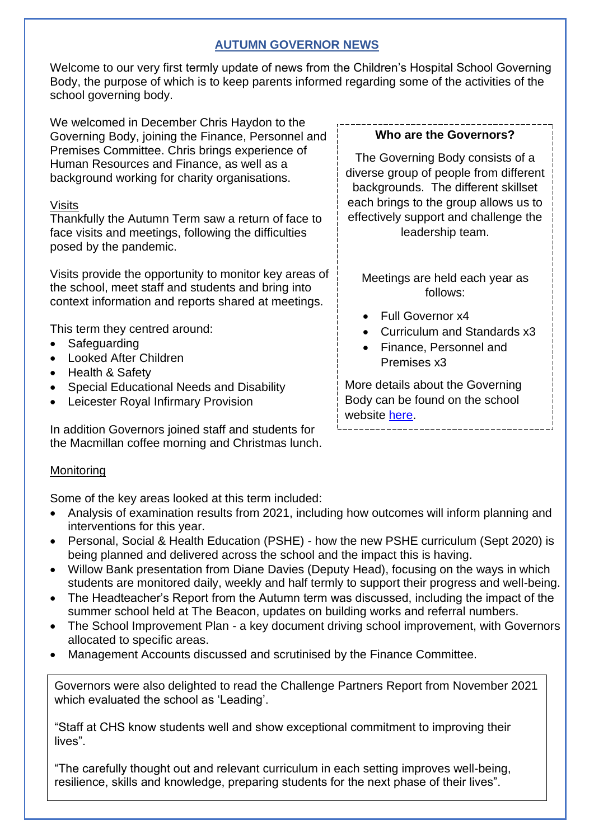# **AUTUMN GOVERNOR NEWS**

Welcome to our very first termly update of news from the Children's Hospital School Governing Body, the purpose of which is to keep parents informed regarding some of the activities of the school governing body.

We welcomed in December Chris Haydon to the Governing Body, joining the Finance, Personnel and Premises Committee. Chris brings experience of Human Resources and Finance, as well as a background working for charity organisations.

# Visits

Thankfully the Autumn Term saw a return of face to face visits and meetings, following the difficulties posed by the pandemic.

Visits provide the opportunity to monitor key areas of the school, meet staff and students and bring into context information and reports shared at meetings.

This term they centred around:

- Safeguarding
- Looked After Children
- Health & Safety
- Special Educational Needs and Disability
- Leicester Royal Infirmary Provision

In addition Governors joined staff and students for the Macmillan coffee morning and Christmas lunch.

# **Monitoring**

Some of the key areas looked at this term included:

- Analysis of examination results from 2021, including how outcomes will inform planning and interventions for this year.
- Personal, Social & Health Education (PSHE) how the new PSHE curriculum (Sept 2020) is being planned and delivered across the school and the impact this is having.
- Willow Bank presentation from Diane Davies (Deputy Head), focusing on the ways in which students are monitored daily, weekly and half termly to support their progress and well-being.
- The Headteacher's Report from the Autumn term was discussed, including the impact of the summer school held at The Beacon, updates on building works and referral numbers.
- The School Improvement Plan a key document driving school improvement, with Governors allocated to specific areas.
- Management Accounts discussed and scrutinised by the Finance Committee.

Governors were also delighted to read the Challenge Partners Report from November 2021 which evaluated the school as 'Leading'.

"Staff at CHS know students well and show exceptional commitment to improving their lives".

"The carefully thought out and relevant curriculum in each setting improves well-being, resilience, skills and knowledge, preparing students for the next phase of their lives".

# **Who are the Governors?**

The Governing Body consists of a diverse group of people from different backgrounds. The different skillset each brings to the group allows us to effectively support and challenge the leadership team.

Meetings are held each year as follows:

- Full Governor x4
- Curriculum and Standards x3
- Finance, Personnel and Premises x3

More details about the Governing Body can be found on the school website [here.](https://www.childrenshospitalschool.leicester.sch.uk/governors/)